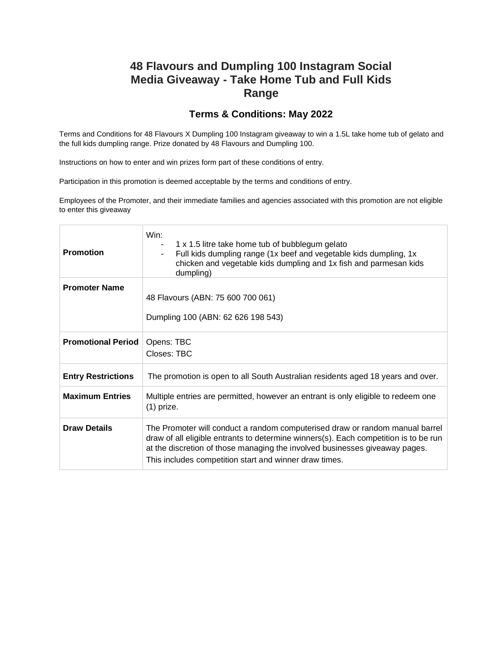## **48 Flavours and Dumpling 100 Instagram Social Media Giveaway - Take Home Tub and Full Kids Range**

## **Terms & Conditions: May 2022**

Terms and Conditions for 48 Flavours X Dumpling 100 Instagram giveaway to win a 1.5L take home tub of gelato and the full kids dumpling range. Prize donated by 48 Flavours and Dumpling 100.

Instructions on how to enter and win prizes form part of these conditions of entry.

Participation in this promotion is deemed acceptable by the terms and conditions of entry.

Employees of the Promoter, and their immediate families and agencies associated with this promotion are not eligible to enter this giveaway

| <b>Promotion</b>          | Win:<br>1 x 1.5 litre take home tub of bubblegum gelato<br>Full kids dumpling range (1x beef and vegetable kids dumpling, 1x<br>chicken and vegetable kids dumpling and 1x fish and parmesan kids<br>dumpling)                                                                                                |
|---------------------------|---------------------------------------------------------------------------------------------------------------------------------------------------------------------------------------------------------------------------------------------------------------------------------------------------------------|
| <b>Promoter Name</b>      | 48 Flavours (ABN: 75 600 700 061)<br>Dumpling 100 (ABN: 62 626 198 543)                                                                                                                                                                                                                                       |
| <b>Promotional Period</b> | Opens: TBC<br>Closes: TBC                                                                                                                                                                                                                                                                                     |
| <b>Entry Restrictions</b> | The promotion is open to all South Australian residents aged 18 years and over.                                                                                                                                                                                                                               |
| <b>Maximum Entries</b>    | Multiple entries are permitted, however an entrant is only eligible to redeem one<br>$(1)$ prize.                                                                                                                                                                                                             |
| <b>Draw Details</b>       | The Promoter will conduct a random computerised draw or random manual barrel<br>draw of all eligible entrants to determine winners(s). Each competition is to be run<br>at the discretion of those managing the involved businesses giveaway pages.<br>This includes competition start and winner draw times. |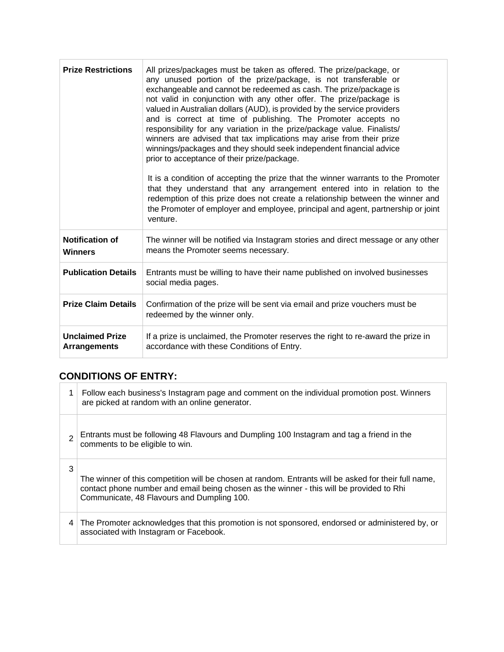| <b>Prize Restrictions</b>                     | All prizes/packages must be taken as offered. The prize/package, or<br>any unused portion of the prize/package, is not transferable or<br>exchangeable and cannot be redeemed as cash. The prize/package is<br>not valid in conjunction with any other offer. The prize/package is<br>valued in Australian dollars (AUD), is provided by the service providers<br>and is correct at time of publishing. The Promoter accepts no<br>responsibility for any variation in the prize/package value. Finalists/<br>winners are advised that tax implications may arise from their prize<br>winnings/packages and they should seek independent financial advice<br>prior to acceptance of their prize/package.<br>It is a condition of accepting the prize that the winner warrants to the Promoter<br>that they understand that any arrangement entered into in relation to the<br>redemption of this prize does not create a relationship between the winner and<br>the Promoter of employer and employee, principal and agent, partnership or joint<br>venture. |
|-----------------------------------------------|--------------------------------------------------------------------------------------------------------------------------------------------------------------------------------------------------------------------------------------------------------------------------------------------------------------------------------------------------------------------------------------------------------------------------------------------------------------------------------------------------------------------------------------------------------------------------------------------------------------------------------------------------------------------------------------------------------------------------------------------------------------------------------------------------------------------------------------------------------------------------------------------------------------------------------------------------------------------------------------------------------------------------------------------------------------|
| <b>Notification of</b><br><b>Winners</b>      | The winner will be notified via Instagram stories and direct message or any other<br>means the Promoter seems necessary.                                                                                                                                                                                                                                                                                                                                                                                                                                                                                                                                                                                                                                                                                                                                                                                                                                                                                                                                     |
| <b>Publication Details</b>                    | Entrants must be willing to have their name published on involved businesses<br>social media pages.                                                                                                                                                                                                                                                                                                                                                                                                                                                                                                                                                                                                                                                                                                                                                                                                                                                                                                                                                          |
| <b>Prize Claim Details</b>                    | Confirmation of the prize will be sent via email and prize vouchers must be<br>redeemed by the winner only.                                                                                                                                                                                                                                                                                                                                                                                                                                                                                                                                                                                                                                                                                                                                                                                                                                                                                                                                                  |
| <b>Unclaimed Prize</b><br><b>Arrangements</b> | If a prize is unclaimed, the Promoter reserves the right to re-award the prize in<br>accordance with these Conditions of Entry.                                                                                                                                                                                                                                                                                                                                                                                                                                                                                                                                                                                                                                                                                                                                                                                                                                                                                                                              |

## **CONDITIONS OF ENTRY:**

|   | Follow each business's Instagram page and comment on the individual promotion post. Winners<br>are picked at random with an online generator.                                                                                                  |
|---|------------------------------------------------------------------------------------------------------------------------------------------------------------------------------------------------------------------------------------------------|
|   | Entrants must be following 48 Flavours and Dumpling 100 Instagram and tag a friend in the<br>comments to be eligible to win.                                                                                                                   |
| 3 | The winner of this competition will be chosen at random. Entrants will be asked for their full name,<br>contact phone number and email being chosen as the winner - this will be provided to Rhi<br>Communicate, 48 Flavours and Dumpling 100. |
| 4 | The Promoter acknowledges that this promotion is not sponsored, endorsed or administered by, or<br>associated with Instagram or Facebook.                                                                                                      |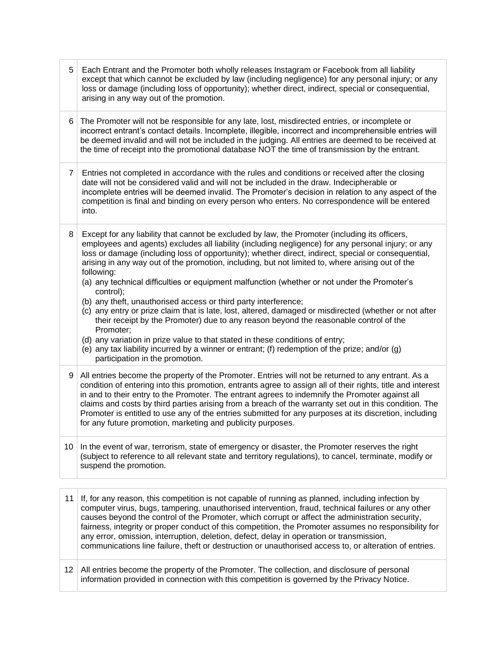| 5  | Each Entrant and the Promoter both wholly releases Instagram or Facebook from all liability<br>except that which cannot be excluded by law (including negligence) for any personal injury; or any<br>loss or damage (including loss of opportunity); whether direct, indirect, special or consequential,<br>arising in any way out of the promotion.                                                                                                                                                                                                                                                                                                                                                                                                                                                                                                                                                                                                                                                                                                 |
|----|------------------------------------------------------------------------------------------------------------------------------------------------------------------------------------------------------------------------------------------------------------------------------------------------------------------------------------------------------------------------------------------------------------------------------------------------------------------------------------------------------------------------------------------------------------------------------------------------------------------------------------------------------------------------------------------------------------------------------------------------------------------------------------------------------------------------------------------------------------------------------------------------------------------------------------------------------------------------------------------------------------------------------------------------------|
| 6  | The Promoter will not be responsible for any late, lost, misdirected entries, or incomplete or<br>incorrect entrant's contact details. Incomplete, illegible, incorrect and incomprehensible entries will<br>be deemed invalid and will not be included in the judging. All entries are deemed to be received at<br>the time of receipt into the promotional database NOT the time of transmission by the entrant.                                                                                                                                                                                                                                                                                                                                                                                                                                                                                                                                                                                                                                   |
| 7  | Entries not completed in accordance with the rules and conditions or received after the closing<br>date will not be considered valid and will not be included in the draw. Indecipherable or<br>incomplete entries will be deemed invalid. The Promoter's decision in relation to any aspect of the<br>competition is final and binding on every person who enters. No correspondence will be entered<br>into.                                                                                                                                                                                                                                                                                                                                                                                                                                                                                                                                                                                                                                       |
| 8  | Except for any liability that cannot be excluded by law, the Promoter (including its officers,<br>employees and agents) excludes all liability (including negligence) for any personal injury; or any<br>loss or damage (including loss of opportunity); whether direct, indirect, special or consequential,<br>arising in any way out of the promotion, including, but not limited to, where arising out of the<br>following:<br>(a) any technical difficulties or equipment malfunction (whether or not under the Promoter's<br>control);<br>(b) any theft, unauthorised access or third party interference;<br>(c) any entry or prize claim that is late, lost, altered, damaged or misdirected (whether or not after<br>their receipt by the Promoter) due to any reason beyond the reasonable control of the<br>Promoter;<br>(d) any variation in prize value to that stated in these conditions of entry;<br>(e) any tax liability incurred by a winner or entrant; (f) redemption of the prize; and/or (g)<br>participation in the promotion. |
| 9  | All entries become the property of the Promoter. Entries will not be returned to any entrant. As a<br>condition of entering into this promotion, entrants agree to assign all of their rights, title and interest<br>in and to their entry to the Promoter. The entrant agrees to indemnify the Promoter against all<br>claims and costs by third parties arising from a breach of the warranty set out in this condition. The<br>Promoter is entitled to use any of the entries submitted for any purposes at its discretion, including<br>for any future promotion, marketing and publicity purposes.                                                                                                                                                                                                                                                                                                                                                                                                                                              |
| 10 | In the event of war, terrorism, state of emergency or disaster, the Promoter reserves the right<br>(subject to reference to all relevant state and territory regulations), to cancel, terminate, modify or<br>suspend the promotion.                                                                                                                                                                                                                                                                                                                                                                                                                                                                                                                                                                                                                                                                                                                                                                                                                 |
|    |                                                                                                                                                                                                                                                                                                                                                                                                                                                                                                                                                                                                                                                                                                                                                                                                                                                                                                                                                                                                                                                      |
| 11 | If, for any reason, this competition is not capable of running as planned, including infection by<br>computer virus, bugs, tampering, unauthorised intervention, fraud, technical failures or any other<br>uses boyand the control of the Promotor which corrupt or offect the administration sequrity                                                                                                                                                                                                                                                                                                                                                                                                                                                                                                                                                                                                                                                                                                                                               |

causes beyond the control of the Promoter, which corrupt or affect the administration security, fairness, integrity or proper conduct of this competition, the Promoter assumes no responsibility for any error, omission, interruption, deletion, defect, delay in operation or transmission, communications line failure, theft or destruction or unauthorised access to, or alteration of entries.

12 | All entries become the property of the Promoter. The collection, and disclosure of personal information provided in connection with this competition is governed by the Privacy Notice.